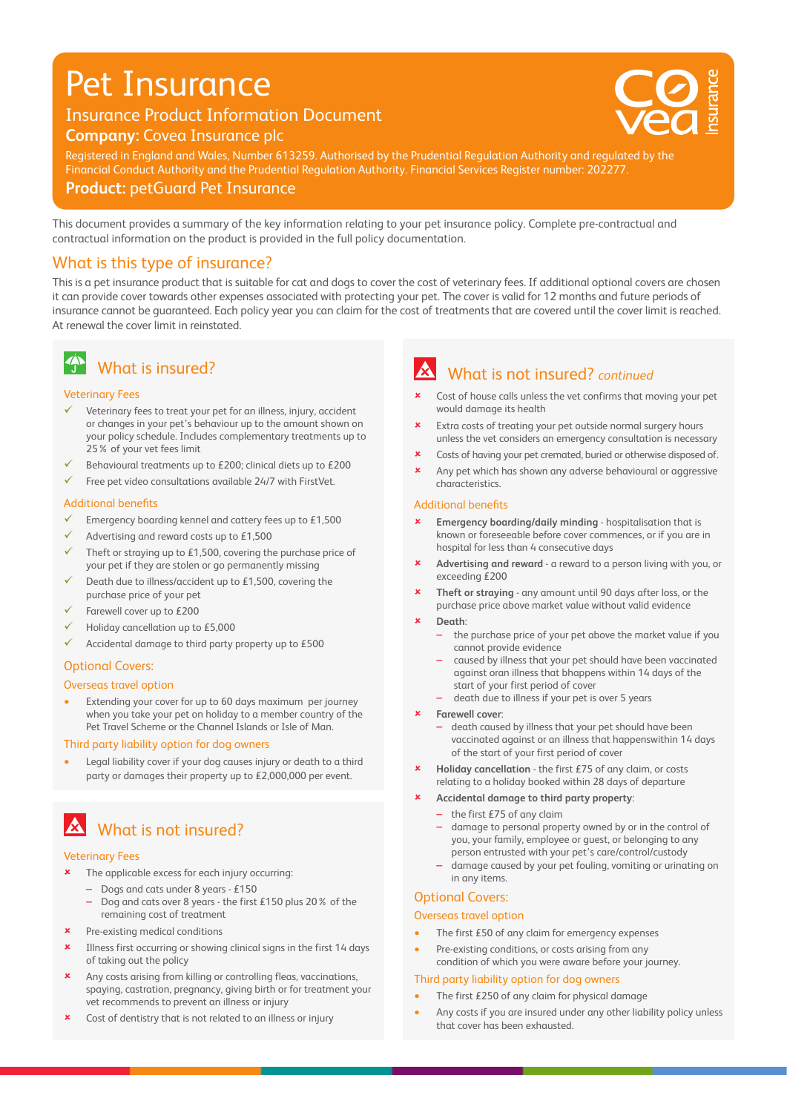# Pet Insurance

### Insurance Product Information Document **Company:** Covea Insurance plc



20 0 0 75 V : 0 75 V : 0 75 V : 0 75 V : 0 75 V : 0 75 V : 0 75 V : 0 75 V : 0 75 V : 0 75 V : 0 75 V : 0 75 V

alidation DA/DC

Registered in England and Wales, Number 613259. Authorised by the Prudential Regulation Authority and regulated by the Financial Conduct Authority and the Prudential Regulation Authority. Financial Services Register number: 202277.

**Product:** petGuard Pet Insurance

This document provides a summary of the key information relating to your pet insurance policy. Complete pre-contractual and contractual information on the product is provided in the full policy documentation.

### What is this type of insurance?

This is a pet insurance product that is suitable for cat and dogs to cover the cost of veterinary fees. If additional optional covers are chosen it can provide cover towards other expenses associated with protecting your pet. The cover is valid for 12 months and future periods of insurance cannot be guaranteed. Each policy year you can claim for the cost of treatments that are covered until the cover limit is reached. At renewal the cover limit in reinstated.

# **4** What is insured?

#### Veterinary Fees

- $\checkmark$  Veterinary fees to treat your pet for an illness, injury, accident or changes in your pet's behaviour up to the amount shown on your policy schedule. Includes complementary treatments up to 25% of your vet fees limit
- Behavioural treatments up to £200; clinical diets up to £200
- 9 Free pet video consultations available 24/7 with FirstVet.

#### Additional benefits

- Emergency boarding kennel and cattery fees up to £1,500
- Advertising and reward costs up to £1,500
- Theft or straying up to  $£1,500$ , covering the purchase price of your pet if they are stolen or go permanently missing
- Death due to illness/accident up to £1,500, covering the purchase price of your pet
- Farewell cover up to £200
- 9 Holiday cancellation up to £5,000
- Accidental damage to third party property up to £500

#### Optional Covers:

#### Overseas travel option

• Extending your cover for up to 60 days maximum per journey when you take your pet on holiday to a member country of the Pet Travel Scheme or the Channel Islands or Isle of Man.

#### Third party liability option for dog owners

• Legal liability cover if your dog causes injury or death to a third party or damages their property up to £2,000,000 per event.

# **X** What is not insured?

#### Veterinary Fees

- The applicable excess for each injury occurring:
	- Dogs and cats under 8 years £150
	- Dog and cats over 8 years the first £150 plus 20% of the remaining cost of treatment
- Pre-existing medical conditions
- 8 Illness first occurring or showing clinical signs in the first 14 days of taking out the policy
- 8 Any costs arising from killing or controlling fleas, vaccinations, spaying, castration, pregnancy, giving birth or for treatment your vet recommends to prevent an illness or injury
- Cost of dentistry that is not related to an illness or injury

# What is not insured? *continued*

- Cost of house calls unless the vet confirms that moving your pet would damage its health
- **\*** Extra costs of treating your pet outside normal surgery hours unless the vet considers an emergency consultation is necessary
- **x** Costs of having your pet cremated, buried or otherwise disposed of.
- Any pet which has shown any adverse behavioural or aggressive characteristics.

#### Additional benefits

- 8 **Emergency boarding/daily minding** hospitalisation that is known or foreseeable before cover commences, or if you are in hospital for less than 4 consecutive days
- Advertising and reward a reward to a person living with you, or exceeding £200
- 8 **Theft or straying** any amount until 90 days after loss, or the purchase price above market value without valid evidence
- 8 **Death**:
	- the purchase price of your pet above the market value if you cannot provide evidence
	- caused by illness that your pet should have been vaccinated against oran illness that bhappens within 14 days of the start of your first period of cover
	- death due to illness if your pet is over 5 years
- 8 **Farewell cover**:
	- death caused by illness that your pet should have been vaccinated against or an illness that happenswithin 14 days of the start of your first period of cover
- 8 **Holiday cancellation** the first £75 of any claim, or costs relating to a holiday booked within 28 days of departure
- 8 **Accidental damage to third party property**:
	- $-$  the first £75 of any claim
	- damage to personal property owned by or in the control of you, your family, employee or guest, or belonging to any person entrusted with your pet's care/control/custody
	- damage caused by your pet fouling, vomiting or urinating on in any items.

#### Optional Covers:

#### Overseas travel option

- The first £50 of any claim for emergency expenses
- Pre-existing conditions, or costs arising from any condition of which you were aware before your journey.

#### Third party liability option for dog owners

- The first £250 of any claim for physical damage
- Any costs if you are insured under any other liability policy unless that cover has been exhausted.